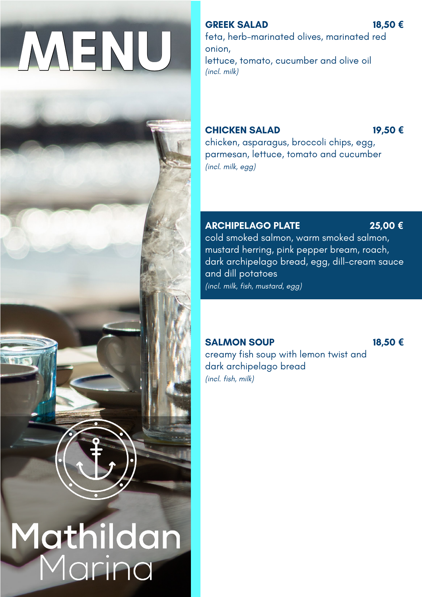## **MENU**



# **Mathildan**<br>Marina

### **GREEK SALAD 18,50 €**

feta, herb-marinated olives, marinated red onion, lettuce, tomato, cucumber and olive oil *(incl. milk)*

## **CHICKEN SALAD 19,50 €**

chicken, asparagus, broccoli chips, egg, parmesan, lettuce, tomato and cucumber *(incl. milk, egg)*

## **ARCHIPELAGO PLATE 25,00 €**

cold smoked salmon, warm smoked salmon, mustard herring, pink pepper bream, roach, dark archipelago bread, egg, dill-cream sauce and dill potatoes

*(incl. milk, fish, mustard, egg)*

### **SALMON SOUP 18,50 €**

creamy fish soup with lemon twist and dark archipelago bread *(incl. fish, milk)*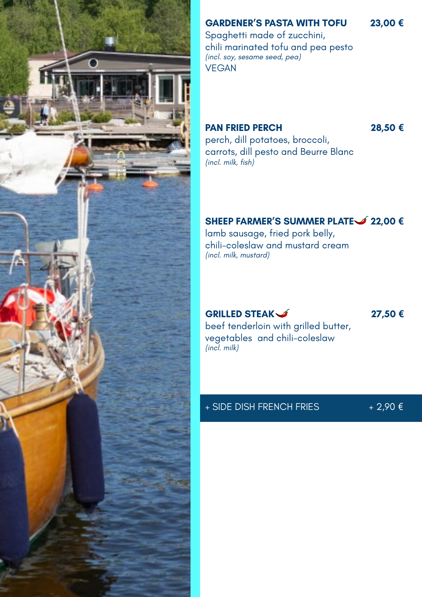

## **GARDENER'S PASTA WITH TOFU 23,00 €**

Spaghetti made of zucchini, chili marinated tofu and pea pesto *(incl. soy, sesame seed, pea)*  VEGAN

### **PAN FRIED PERCH 28,50 €**

perch, dill potatoes, broccoli, carrots, dill pesto and Beurre Blanc *(incl. milk, fish)*

### **SHEEP FARMER'S SUMMER PLATE 22,00 €**

lamb sausage, fried pork belly, chili-coleslaw and mustard cream *(incl. milk, mustard)*

### **GRILLED STEAK 27,50 €**

beef tenderloin with grilled butter, vegetables and chili-coleslaw *(incl. milk)*

### + SIDE DISH FRENCH FRIES + 2,90 €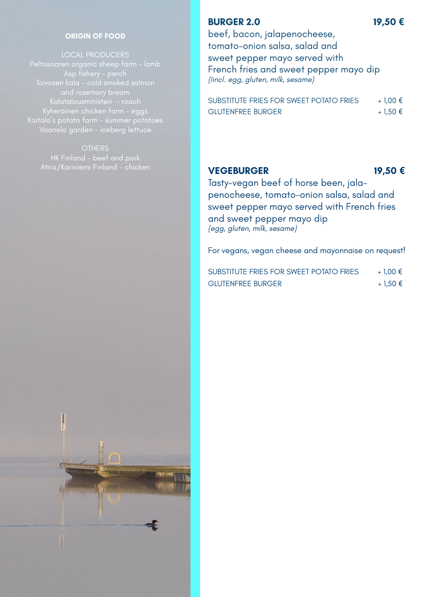### **ORIGIN OF FOOD**

LOCAL PRODUCERS Peltosaaren organic sheep farm - lamb Toivosen kala - cold smoked salmon Kyheröinen chicken farm - eggs Kaitala's potato farm - summer potatoes

### **BURGER 2.0** 19,50 €

beef, bacon, jalapenocheese, tomato-onion salsa, salad and sweet pepper mayo served with French fries and sweet pepper mayo dip *(Iincl. egg, gluten, milk, sesame)* 

| SUBSTITUTE FRIES FOR SWEET POTATO FRIES | $+1.00 \in$ |
|-----------------------------------------|-------------|
| <b>GLUTENFREE BURGER</b>                | + 1,50 €    |

### **VEGEBURGER 19,50 €**

Tasty-vegan beef of horse been, jalapenocheese, tomato-onion salsa, salad and sweet pepper mayo served with French fries and sweet pepper mayo dip *(egg, gluten, milk, sesame)* 

For vegans, vegan cheese and mayonnaise on request!

| SUBSTITUTE FRIES FOR SWEET POTATO FRIES | + 1.00 € |
|-----------------------------------------|----------|
| <b>GLUTENFREE BURGER</b>                | + 1,50 € |